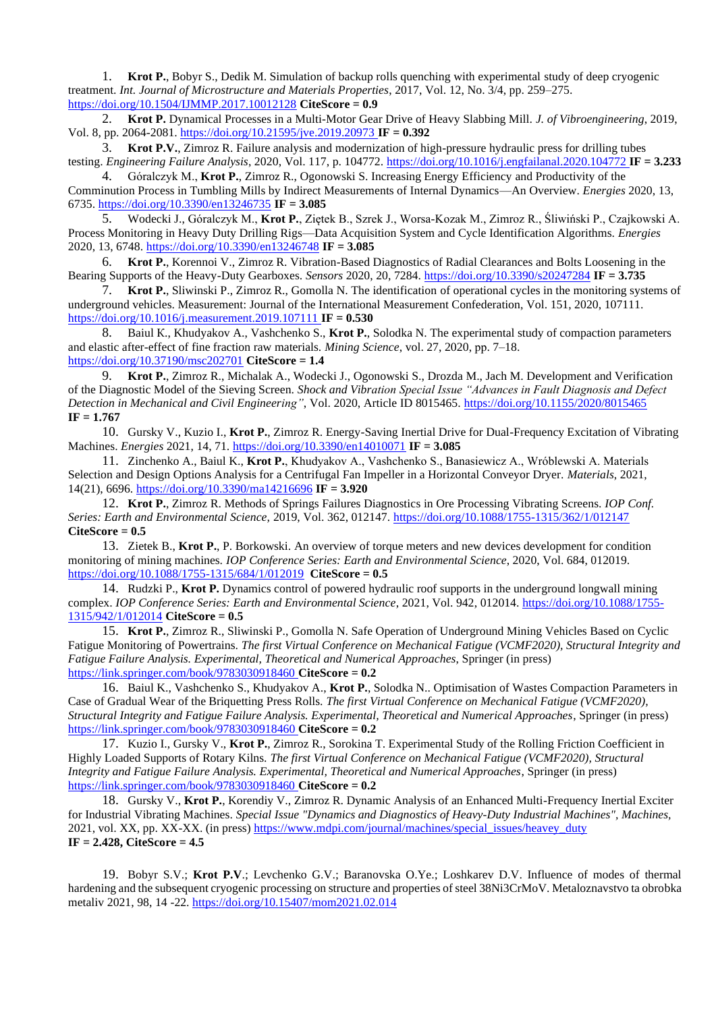1. **Krot P.**, Bobyr S., Dedik M. Simulation of backup rolls quenching with experimental study of deep cryogenic treatment. *Int. Journal of Microstructure and Materials Properties*, 2017, Vol. 12, No. 3/4, pp. 259–275. <https://doi.org/10.1504/IJMMP.2017.10012128> **CiteScore = 0.9** 

2. **Krot P.** Dynamical Processes in a Multi-Motor Gear Drive of Heavy Slabbing Mill. *J. of Vibroengineering*, 2019, Vol. 8, pp. 2064-2081.<https://doi.org/10.21595/jve.2019.20973> **IF = 0.392** 

3. **Krot P.V.**, Zimroz R. Failure analysis and modernization of high-pressure hydraulic press for drilling tubes testing. *Engineering Failure Analysis*, 2020, Vol. 117, p. 104772[. https://doi.org/10.1016/j.engfailanal.2020.104772](https://doi.org/10.1016/j.engfailanal.2020.104772) **IF = 3.233** 

4. Góralczyk M., **Krot P.**, Zimroz R., Ogonowski S. Increasing Energy Efficiency and Productivity of the Comminution Process in Tumbling Mills by Indirect Measurements of Internal Dynamics—An Overview. *Energies* 2020, 13, 6735[. https://doi.org/10.3390/en13246735](https://doi.org/10.3390/en13246735) **IF = 3.085**

5. Wodecki J., Góralczyk M., **Krot P.**, Ziętek B., Szrek J., Worsa-Kozak M., Zimroz R., Śliwiński P., Czajkowski A. Process Monitoring in Heavy Duty Drilling Rigs—Data Acquisition System and Cycle Identification Algorithms. *Energies* 2020, 13, 6748[. https://doi.org/10.3390/en13246748](https://doi.org/10.3390/en13246748) **IF = 3.085**

6. **Krot P.**, Korennoi V., Zimroz R. Vibration-Based Diagnostics of Radial Clearances and Bolts Loosening in the Bearing Supports of the Heavy-Duty Gearboxes. *Sensors* 2020, 20, 7284.<https://doi.org/10.3390/s20247284> **IF = 3.735**

7. **Krot P.**, Sliwinski P., Zimroz R., Gomolla N. The identification of operational cycles in the monitoring systems of underground vehicles. Measurement: Journal of the International Measurement Confederation, Vol. 151, 2020, 107111. <https://doi.org/10.1016/j.measurement.2019.107111> **IF = 0.530**

8. Baiul K., Khudyakov A., Vashchenko S., **Krot P.**, Solodka N. The experimental study of compaction parameters and elastic after-effect of fine fraction raw materials. *Mining Science*, vol. 27, 2020, рр. 7–18. <https://doi.org/10.37190/msc202701> **CiteScore = 1.4**

9. **Krot P.**, Zimroz R., Michalak A., Wodecki J., Ogonowski S., Drozda M., Jach M. Development and Verification of the Diagnostic Model of the Sieving Screen. *Shock and Vibration Special Issue "Advances in Fault Diagnosis and Defect Detection in Mechanical and Civil Engineering"*, Vol. 2020, Article ID 8015465.<https://doi.org/10.1155/2020/8015465> **IF = 1.767**

10. Gursky V., Kuzio I., **Krot P.**, Zimroz R. Energy-Saving Inertial Drive for Dual-Frequency Excitation of Vibrating Machines. *Energies* 2021, 14, 71[. https://doi.org/10.3390/en14010071](https://doi.org/10.3390/en14010071) **IF = 3.085**

11. Zinchenko A., Baiul K., **Krot P.**, Khudyakov A., Vashchenko S., Banasiewicz A., Wróblewski A. Materials Selection and Design Options Analysis for a Centrifugal Fan Impeller in a Horizontal Conveyor Dryer. *Materials*, 2021, 14(21), 6696.<https://doi.org/10.3390/ma14216696> **IF = 3.920**

12. **Krot P.**, Zimroz R. Methods of Springs Failures Diagnostics in Ore Processing Vibrating Screens. *IOP Conf. Series: Earth and Environmental Science,* 2019, Vol. 362, 012147.<https://doi.org/10.1088/1755-1315/362/1/012147> **CiteScore = 0.5**

13. Zietek B., **Krot P.**, P. Borkowski. An overview of torque meters and new devices development for condition monitoring of mining machines. *IOP Conference Series: Earth and Environmental Science*, 2020, Vol. 684, 012019. <https://doi.org/10.1088/1755-1315/684/1/012019>**CiteScore = 0.5**

14. Rudzki P., **Krot P.** Dynamics control of powered hydraulic roof supports in the underground longwall mining complex. *IOP Conference Series: Earth and Environmental Science*, 2021, Vol. 942, 012014. [https://doi.org/10.1088/1755-](https://doi.org/10.1088/1755-1315/942/1/012014) [1315/942/1/012014](https://doi.org/10.1088/1755-1315/942/1/012014) **CiteScore = 0.5**

15. **Krot P.**, Zimroz R., Sliwinski P., Gomolla N. Safe Operation of Underground Mining Vehicles Based on Cyclic Fatigue Monitoring of Powertrains. *The first Virtual Conference on Mechanical Fatigue (VCMF2020), Structural Integrity and Fatigue Failure Analysis. Experimental, Theoretical and Numerical Approaches*, Springer (in press) <https://link.springer.com/book/9783030918460> **CiteScore = 0.2**

16. Baiul K., Vashchenko S., Khudyakov A., **Krot P.**, Solodka N.. Optimisation of Wastes Compaction Parameters in Case of Gradual Wear of the Briquetting Press Rolls. *The first Virtual Conference on Mechanical Fatigue (VCMF2020), Structural Integrity and Fatigue Failure Analysis. Experimental, Theoretical and Numerical Approaches*, Springer (in press) <https://link.springer.com/book/9783030918460> **CiteScore = 0.2**

17. Kuzio I., Gursky V., **Krot P.**, Zimroz R., Sorokina T. Experimental Study of the Rolling Friction Coefficient in Highly Loaded Supports of Rotary Kilns. *The first Virtual Conference on Mechanical Fatigue (VCMF2020), Structural Integrity and Fatigue Failure Analysis. Experimental, Theoretical and Numerical Approaches*, Springer (in press) <https://link.springer.com/book/9783030918460> **CiteScore = 0.2**

18. Gursky V., **Krot P.**, Korendiy V., Zimroz R. Dynamic Analysis of an Enhanced Multi-Frequency Inertial Exciter for Industrial Vibrating Machines. *Special Issue "Dynamics and Diagnostics of Heavy-Duty Industrial Machines", Machines,*  2021, vol. XX, pp. XX-XX. (in press) [https://www.mdpi.com/journal/machines/special\\_issues/heavey\\_duty](https://www.mdpi.com/journal/machines/special_issues/heavey_duty) **IF = 2.428, CiteScore = 4.5**

19. Bobyr S.V.; **Krot P.V**.; Levchenko G.V.; Baranovska O.Ye.; Loshkarev D.V. Influence of modes of thermal hardening and the subsequent cryogenic processing on structure and properties of steel 38Ni3CrMoV. Metaloznavstvo ta obrobka metaliv 2021, 98, 14 -22. <https://doi.org/10.15407/mom2021.02.014>